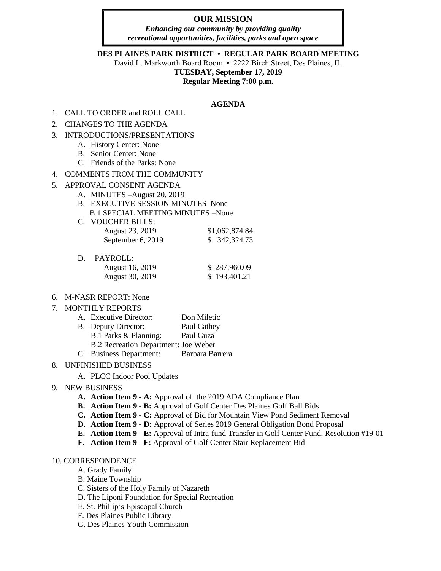# **OUR MISSION**

*Enhancing our community by providing quality recreational opportunities, facilities, parks and open space*

#### **DES PLAINES PARK DISTRICT • REGULAR PARK BOARD MEETING**

David L. Markworth Board Room • 2222 Birch Street, Des Plaines, IL

# **TUESDAY, September 17, 2019**

**Regular Meeting 7:00 p.m.**

#### **AGENDA**

- 1. CALL TO ORDER and ROLL CALL
- 2. CHANGES TO THE AGENDA
- 3. INTRODUCTIONS/PRESENTATIONS
	- A. History Center: None
	- B. Senior Center: None
	- C. Friends of the Parks: None
- 4. COMMENTS FROM THE COMMUNITY
- 5. APPROVAL CONSENT AGENDA
	- A. MINUTES –August 20, 2019
	- B. EXECUTIVE SESSION MINUTES–None B.1 SPECIAL MEETING MINUTES –None
	- C. VOUCHER BILLS: August 23, 2019 <br>
	September 6, 2019 <br>
	\$342,324.73 September 6, 2019
	- D. PAYROLL:

| August 16, 2019 | \$287,960.09 |
|-----------------|--------------|
| August 30, 2019 | \$193,401.21 |

6. M-NASR REPORT: None

#### 7. MONTHLY REPORTS

| A. Executive Director:               | Don Miletic     |
|--------------------------------------|-----------------|
| B. Deputy Director:                  | Paul Cathey     |
| B.1 Parks & Planning:                | Paul Guza       |
| B.2 Recreation Department: Joe Weber |                 |
| C. Business Department:              | Barbara Barrera |

### 8. UNFINISHED BUSINESS

A. PLCC Indoor Pool Updates

### 9. NEW BUSINESS

- **A. Action Item 9 - A:** Approval of the 2019 ADA Compliance Plan
- **B. Action Item 9 - B:** Approval of Golf Center Des Plaines Golf Ball Bids
- **C. Action Item 9 - C:** Approval of Bid for Mountain View Pond Sediment Removal
- **D. Action Item 9 - D:** Approval of Series 2019 General Obligation Bond Proposal
- **E. Action Item 9 - E:** Approval of Intra-fund Transfer in Golf Center Fund, Resolution #19-01
- **F. Action Item 9 - F:** Approval of Golf Center Stair Replacement Bid

## 10. CORRESPONDENCE

- A. Grady Family
- B. Maine Township
- C. Sisters of the Holy Family of Nazareth
- D. The Liponi Foundation for Special Recreation
- E. St. Phillip's Episcopal Church
- F. Des Plaines Public Library
- G. Des Plaines Youth Commission